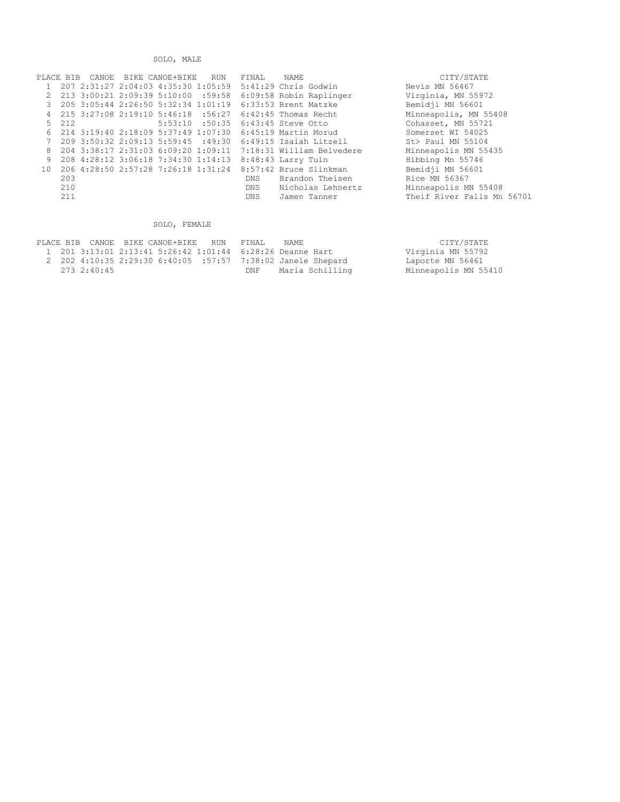SOLO, MALE

| PLACE BIB |       |  | CANOE BIKE CANOE+BIKE RUN | FINAL | NAME                                                                                       | CITY/STATE                 |
|-----------|-------|--|---------------------------|-------|--------------------------------------------------------------------------------------------|----------------------------|
|           |       |  |                           |       | 207 2:31:27 2:04:03 4:35:30 1:05:59 5:41:29 Chris Godwin                                   | Nevis MN 56467             |
| 2         |       |  |                           |       | 213 3:00:21 2:09:39 5:10:00 :59:58 6:09:58 Robin Raplinger                                 | Virginia, MN 55972         |
|           |       |  |                           |       | 3 205 3:05:44 2:26:50 5:32:34 1:01:19    6:33:53 Brent Matzke                              | Bemidji MN 56601           |
|           |       |  |                           |       | 4   215   3:27:08   2:19:10   5:46:18   :56:27   6:42:45                      Thomas Recht | Minneapolis, MN 55408      |
|           | 5 212 |  |                           |       | 5:53:10 :50:35 6:43:45 Steve Otto                                                          | Cohasset, MN 55721         |
|           |       |  |                           |       | 6 214 3:19:40 2:18:09 5:37:49 1:07:30 6:45:19 Martin Morud                                 | Somerset WI 54025          |
|           |       |  |                           |       | 209 3:50:32 2:09:13 5:59:45 :49:30 6:49:15 Isaiah Litzell                                  | St> Paul MN 55104          |
|           |       |  |                           |       | 8 204 3:38:17 2:31:03 6:09:20 1:09:11 7:18:31 William Belvedere                            | Minneapolis MN 55435       |
| 9         |       |  |                           |       | 208 4:28:12 3:06:18 7:34:30 1:14:13 8:48:43 Larry Tuin                                     | Hibbing Mn 55746           |
|           |       |  |                           |       | 10 206 4:28:50 2:57:28 7:26:18 1:31:24 8:57:42 Bruce Slinkman                              | Bemidji MN 56601           |
|           | 203   |  |                           | DNS   | Brandon Theisen                                                                            | Rice MN 56367              |
|           | 210   |  |                           | DNS   | Nicholas Lehnertz                                                                          | Minneapolis MN 55408       |
|           | 211   |  |                           | DNS   | Jamen Tanner                                                                               | Theif River Falls Mn 56701 |

## SOLO, FEMALE

|  |             | PLACE BIB CANOE BIKE CANOE+BIKE RUN FINAL |     | NAME.                                                       | CITY/STATE           |
|--|-------------|-------------------------------------------|-----|-------------------------------------------------------------|----------------------|
|  |             |                                           |     | 1 201 3:13:01 2:13:41 5:26:42 1:01:44 6:28:26 Deanne Hart   | Virginia MN 55792    |
|  |             |                                           |     | 2 202 4:10:35 2:29:30 6:40:05 :57:57 7:38:02 Janele Shepard | Laporte MN 56461     |
|  | 273 2:40:45 |                                           | DNF | Maria Schilling                                             | Minneapolis MN 55410 |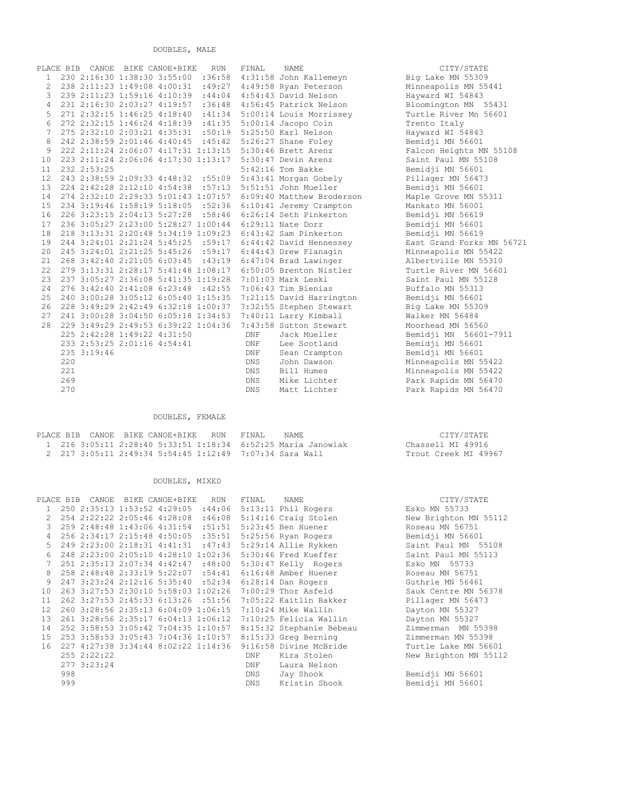DOUBLES, MALE

|                | CANOE<br>PLACE BIB | BIKE CANOE+BIKE                                            | <b>RUN</b> | FINAL          | <b>NAME</b>                                                   | CITY/STATE            |
|----------------|--------------------|------------------------------------------------------------|------------|----------------|---------------------------------------------------------------|-----------------------|
| $\mathbf{1}$   |                    | 230 2:16:30 1:38:30 3:55:00                                |            |                | :36:58 4:31:58 John Kallemeyn                                 | Big Lake MN 55309     |
| $\overline{2}$ |                    | 238 2:11:23 1:49:08 4:00:31                                |            |                | :49:27 4:49:58 Ryan Peterson                                  | Minneapolis MN 55441  |
| 3              |                    | 239 2:11:23 1:59:16 4:10:39 :44:04 4:54:43 David Nelson    |            |                |                                                               | Hayward WI 54843      |
| $\overline{4}$ |                    | 231 2:16:30 2:03:27 4:19:57 :36:48 4:56:45 Patrick Nelson  |            |                |                                                               | Bloomington MN 5543   |
| 5              |                    | 271 2:32:15 1:46:25 4:18:40 :41:34 5:00:14 Louis Morrissey |            |                |                                                               | Turtle River Mn 56601 |
| 6              |                    | 272 2:32:15 1:46:24 4:18:39 :41:35 5:00:14 Jacopo Coin     |            |                |                                                               | Trento Italy          |
| $\overline{7}$ |                    | 275 2:32:10 2:03:21 4:35:31 :50:19 5:25:50 Karl Nelson     |            |                |                                                               | Hayward WI 54843      |
| 8              |                    | 242 2:38:59 2:01:46 4:40:45 :45:42 5:26:27 Shane Foley     |            |                |                                                               | Bemidji MN 56601      |
| 9              |                    | 222 2:11:24 2:06:07 4:17:31 1:13:15 5:30:46 Brett Arenz    |            |                |                                                               | Falcon Heights MN 55  |
| 10             |                    | 223 2:11:24 2:06:06 4:17:30 1:13:17 5:30:47 Devin Arenz    |            |                |                                                               | Saint Paul MN 55108   |
| 11             | 232 2:53:25        |                                                            |            |                | $5:42:16$ Tom Bakke                                           | Bemidji MN 56601      |
| 12             |                    | 243 2:38:59 2:09:33 4:48:32 :55:09 5:43:41 Morgan Gobely   |            |                |                                                               | Pillager MN 56473     |
| 13             |                    | 224 2:42:28 2:12:10 4:54:38 :57:13 5:51:51 John Mueller    |            |                |                                                               | Bemidji MN 56601      |
| 14             |                    |                                                            |            |                | 274 2:32:10 2:29:33 5:01:43 1:07:57 6:09:40 Matthew Broderson | Maple Grove MN 55311  |
| 15             |                    | 234 3:19:46 1:58:19 5:18:05 :52:36 6:10:41 Jeremy Crampton |            |                |                                                               | Mankato MN 56001      |
| 16             |                    | 226 3:23:15 2:04:13 5:27:28 :58:46 6:26:14 Seth Pinkerton  |            |                |                                                               | Bemidji MN 56619      |
| 17             |                    | 236 3:05:27 2:23:00 5:28:27 1:00:44 6:29:11 Nate Dorr      |            |                |                                                               | Bemidji MN 56601      |
| 18             |                    | 218 3:13:31 2:20:48 5:34:19 1:09:23 6:43:42 Sam Pinkerton  |            |                |                                                               | Bemidji MN 56619      |
| 19             |                    |                                                            |            |                | 244 3:24:01 2:21:24 5:45:25 :59:17 6:44:42 David Hennessey    | East Grand Forks MN   |
| 20             |                    | 245 3:24:01 2:21:25 5:45:26 :59:17 6:44:43 Drew Flanagin   |            |                |                                                               | Minneapolis MN 55422  |
| 21             |                    | 268 3:42:40 2:21:05 6:03:45 :43:19 6:47:04 Brad Lawinger   |            |                |                                                               | Albertville MN 55310  |
| 22             |                    |                                                            |            |                | 279 3:13:31 2:28:17 5:41:48 1:08:17 6:50:05 Brenton Nistler   | Turtle River MN 56601 |
| 23             |                    | 237 3:05:27 2:36:08 5:41:35 1:19:28                        |            |                | 7:01:03 Mark Leski                                            | Saint Paul MN 55128   |
| 24             |                    | 276 3:42:40 2:41:08 6:23:48                                | :42:55     |                | 7:06:43 Tim Bienias                                           | Buffalo MN 55313      |
| 25             |                    | 240 3:00:28 3:05:12 6:05:40 1:15:35                        |            |                | 7:21:15 David Harrington                                      | Bemidji MN 56601      |
| 26             |                    | 228 3:49:29 2:42:49 6:32:18 1:00:37                        |            |                | 7:32:55 Stephen Stewart                                       | Big Lake MN 55309     |
| 27             |                    | 241 3:00:28 3:04:50 6:05:18 1:34:53                        |            |                | 7:40:11 Larry Kimball                                         | Walker MN 56484       |
| 28             |                    | 229 3:49:29 2:49:53 6:39:22 1:04:36                        |            |                | 7:43:58 Sutton Stewart                                        | Moorhead MN 56560     |
|                |                    | 225 2:42:28 1:49:22 4:31:50                                |            | <b>DNF</b>     | Jack Mueller                                                  | Bemidji MN 56601-791  |
|                |                    | 233 2:53:25 2:01:16 4:54:41                                |            | <b>DNF</b>     | Lee Scotland                                                  | Bemidji MN 56601      |
|                | 235 3:19:46        |                                                            |            | $\texttt{DNF}$ | Sean Crampton                                                 | Bemidji MN 56601      |
|                | 220                |                                                            |            | <b>DNS</b>     | John Dawson                                                   | Minneapolis MN 55422  |
|                | 221                |                                                            |            | <b>DNS</b>     | Bill Humes                                                    | Minneapolis MN 55422  |
|                | 269                |                                                            |            | DNS.           | Mike Lichter                                                  | Park Rapids MN 56470  |
|                | 270                |                                                            |            | <b>DNS</b>     | Matt Lichter                                                  | Park Rapids MN 56470  |

## DOUBLES, FEMALE

|  | PLACE BIB CANOE BIKE CANOE+BIKE RUN                          | FINAL. | NAME. | CITY/STATE           |
|--|--------------------------------------------------------------|--------|-------|----------------------|
|  | 1 216 3:05:11 2:28:40 5:33:51 1:18:34 6:52:25 Maria Janowiak |        |       | Chassell MT 49916    |
|  | 2 217 3:05:11 2:49:34 5:54:45 1:12:49 7:07:34 Sara Wall      |        |       | Trout Creek MT 49967 |

## DOUBLES, MIXED

|               | PLACE BIB CANOE | BIKE CANOE+BIKE RUN                 |        | FINAL      | NAME                     | CITY/STATE            |
|---------------|-----------------|-------------------------------------|--------|------------|--------------------------|-----------------------|
|               |                 | 250 2:35:13 1:53:52 4:29:05 :44:06  |        |            | $5:13:11$ Phil Rogers    | Esko MN 55733         |
| $\mathcal{P}$ |                 | 254 2:22:22 2:05:46 4:28:08         | :46:08 |            | 5:14:16 Craig Stolen     | New Brighton MN 55112 |
| 3             |                 | 259 2:48:48 1:43:06 4:31:54 :51:51  |        |            | $5:23:45$ Ben Huener     | Roseau MN 56751       |
| 4             |                 | 256 2:34:17 2:15:48 4:50:05 :35:51  |        |            | 5:25:56 Ryan Rogers      | Bemidji MN 56601      |
| 5             |                 | 249 2:23:00 2:18:31 4:41:31 :47:43  |        |            | 5:29:14 Allie Rykken     | Saint Paul MN 55108   |
|               |                 | 248 2:23:00 2:05:10 4:28:10 1:02:36 |        |            | 5:30:46 Fred Kueffer     | Saint Paul MN 55113   |
| 7             |                 | 251 2:35:13 2:07:34 4:42:47 :48:00  |        |            | 5:30:47 Kelly Rogers     | Esko MN 55733         |
| 8             |                 | 258 2:48:48 2:33:19 5:22:07 :54:41  |        |            | 6:16:48 Amber Huener     | Roseau MN 56751       |
| 9             |                 | 247 3:23:24 2:12:16 5:35:40 :52:34  |        |            | $6:28:14$ Dan Rogers     | Guthrie MN 56461      |
| 10            |                 | 263 3:27:53 2:30:10 5:58:03 1:02:26 |        |            | 7:00:29 Thor Asfeld      | Sauk Centre MN 56378  |
| 11            |                 | 262 3:27:53 2:45:33 6:13:26 :51:56  |        |            | 7:05:22 Kaitlin Bakker   | Pillager MN 56473     |
| 12.           |                 | 260 3:28:56 2:35:13 6:04:09 1:06:15 |        |            | 7:10:24 Mike Wallin      | Dayton MN 55327       |
| 13            |                 | 261 3:28:56 2:35:17 6:04:13 1:06:12 |        |            | 7:10:25 Felicia Wallin   | Dayton MN 55327       |
| 14            |                 | 252 3:58:53 3:05:42 7:04:35 1:10:57 |        |            | 8:15:32 Stephanie Bebeau | Zimmerman MN 55398    |
| 15            |                 | 253 3:58:53 3:05:43 7:04:36 1:10:57 |        |            | 8:15:33 Greg Berning     | Zimmerman MN 55398    |
| 16            |                 | 227 4:27:38 3:34:44 8:02:22 1:14:36 |        |            | 9:16:58 Divine McBride   | Turtle Lake MN 56601  |
|               | 255 2:22:22     |                                     |        | DNF        | Kira Stolen              | New Brighton MN 55112 |
|               | 277 3:23:24     |                                     |        | DNF        | Laura Nelson             |                       |
|               | 998             |                                     |        | DNS        | Jay Shook                | Bemidji MN 56601      |
|               | 999             |                                     |        | <b>DNS</b> | Kristin Shook            | Bemidji MN 56601      |
|               |                 |                                     |        |            |                          |                       |

Big Lake MN 55309 Minneapolis MN 55441 Hayward WI 54843 Bloomington MN 55431 Turtle River Mn 56601 Trento Italy Hayward WI 54843 Bemidji MN 56601 Falcon Heights MN 55108 Saint Paul MN 55108 Bemidji MN 56601 Pillager MN 56473 Bemidji MN 56601 Maple Grove MN 55311 Mankato MN 56001 11.<br>Bemidji MN 56619 Bemidji MN 56601 Bemidji MN 56619 East Grand Forks MN 56721 Minneapolis MN 55422 Albertville MN 55310 Turtle River MN 56601 Saint Paul MN 55128 Buffalo MN 55313 Bemidji MN 56601 Big Lake MN 55309 Walker MN 56484 Moorhead MN 56560 Bemidji MN 56601-7911 Bemidji MN 56601 Bemidji MN 56601 Minneapolis MN 55422 Minneapolis MN 55422 Park Rapids MN 56470